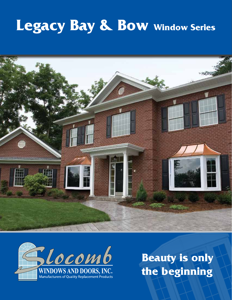# **Legacy Bay & Bow Window Series**





**Beauty is only the beginning**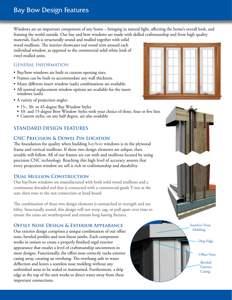# Bay Bow Design Features

Windows are an important component of any home – bringing in natural light, affecting the home's overall look, and framing the world outside. Our bay and bow windows are made with skilled craftsmanship and from high quality

materials. Each is structurally sound and mulled together with solid wood mullions. The interior showcases real wood trim around each individual window, as opposed to the commercial solid white look of vinyl mulled units.

## General Information

- Bay/bow windows are built to custom opening sizes.
- Frames can be built to accommodate any wall thickness.
- Many different insert window (sash) combinations are available.
- All normal replacement window options are available for the insert windows (sash).
- A variety of projection angles:
	- 15-, 30- or 45-degree Bay Window Styles
	- 10- and 15-degree Bow Window Styles with your choice of three, four or five lites
	- Custom styles, on any half degree, are also available

# **STANDARD DESIGN FEATURES**

# **CNC Precision & Dowel Pin Location**

The foundation for quality when building bay/bow windows is in the plywood frame and vertical mullions. If these two design elements are subpar, then trouble will follow. All of our frames are cut with and mullions located by using precision CNC technology. Reaching this high level of accuracy assures that every projection window we sell is rich in craftsmanship and durability.

### **Dual Mullion Construction**

Our bay/bow windows are manufactured with both solid wood mullions and a continuous threaded rod that is connected with a commercial-grade T-nut at the seat, then runs to the nut connection at head board.

The combination of these two design elements is unmatched in strength and stability. Structurally sound, this design will not warp, sag, or pull apart over time to ensure the units are weatherproof and remain long-lasting fixtures.

# **Offset Nose Design & Exterior Appearance**

Our exterior design comprises a unique combination of our offset nose, beveled profiles and non-linear jambs. Each component works in unison to create a properly finished regal exterior appearance that exudes a level of craftsmanship uncommon in most designs. Functionally, the offset nose correctly tucks exterior casing away, creating an overhang. The overhang aids in water deflection and leaves a seamless nose molding without any unfinished areas to be sealed or maintained. Furthermore, a drip edge at the top of the unit works to direct water away from these important connections.









Drip Edge

Offset Nose

Beveled Exterior **Casing**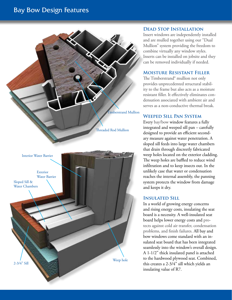# Bay Bow Design Features



#### **Dead Stop Installation**

Insert windows are independently installed and are mulled together using our "Dual Mullion" system providing the freedom to combine virtually any window styles. Inserts can be installed on jobsite and they can be removed individually if needed.

#### **Moisture Resistant Filler**

The Timberstrand® mullion not only provides unprecedented structural stability to the frame but also acts as a moisture resistant filler. It effectively eliminates condensation associated with ambient air and serves as a non-conductive thermal break.

### **Weeped Sill Pan System**

Every bay/bow window features a fully integrated and weeped sill pan – carefully designed to provide an efficient secondary measure against water penetration. A sloped sill feeds into large water chambers that drain through discreetly fabricated weep holes located on the exterior cladding. The weep holes are baffled to reduce wind infiltration and to keep insects out. In the unlikely case that water or condensation reaches the internal assembly, the panning system protects the window from damage and keeps it dry.

### **Insulated Sill**

In a world of growing energy concerns and rising energy costs, insulating the seat board is a necessity. A well-insulated seat board helps lower energy costs and protects against cold air transfer, condensation problems, and finish failures. All bay and bow windows come standard with an insulated seat board that has been integrated seamlessly into the window's overall design. A 1-1/2" thick insulated panel is attached to the hardwood plywood seat. Combined, this creates a 2-3/4" sill which yields an insulating value of R7.